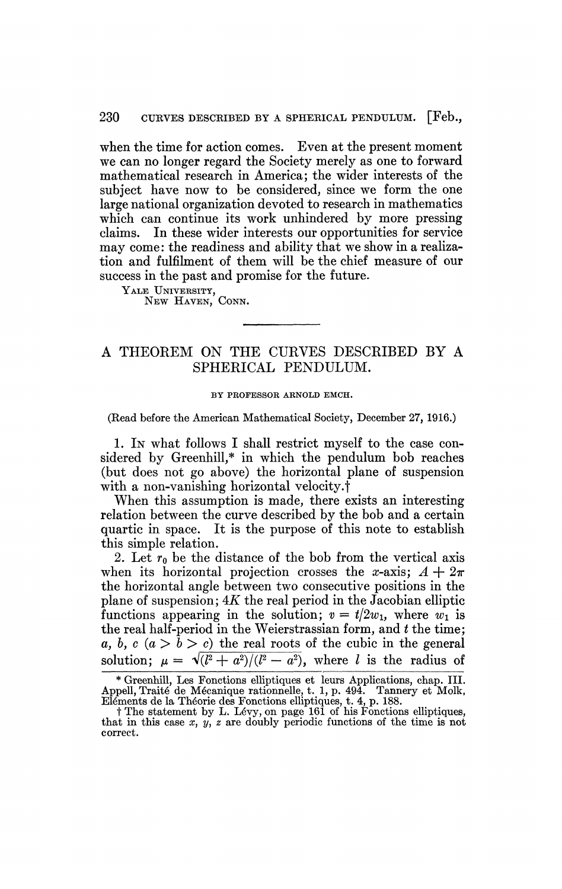## 230 CURVES DESCRIBED BY A SPHERICAL PENDULUM. [Feb.,

when the time for action comes. Even at the present moment we can no longer regard the Society merely as one to forward mathematical research in America; the wider interests of the subject have now to be considered, since we form the one large national organization devoted to research in mathematics which can continue its work unhindered by more pressing claims. In these wider interests our opportunities for service may come: the readiness and ability that we show in a realization and fulfilment of them will be the chief measure of our success in the past and promise for the future.

YALE UNIVERSITY,

NEW HAVEN, CONN.

## A THEOREM ON THE CURVES DESCRIBED BY A SPHERICAL PENDULUM.

## BY PROFESSOR ARNOLD EMCH.

(Read before the American Mathematical Society, December 27, 1916.)

1. IN what follows I shall restrict myself to the case considered by Greenhill,\* in which the pendulum bob reaches (but does not go above) the horizontal plane of suspension with a non-vanishing horizontal velocity.<sup>†</sup>

When this assumption is made, there exists an interesting relation between the curve described by the bob and a certain quartic in space. It is the purpose of this note to establish this simple relation.

2. Let  $r_0$  be the distance of the bob from the vertical axis when its horizontal projection crosses the x-axis;  $A + 2\pi$ the horizontal angle between two consecutive positions in the plane of suspension; *AK* the real period in the Jacobian elliptic functions appearing in the solution;  $v = t/2w_1$ , where  $w_1$  is the real half-period in the Weierstrassian form, and *t* the time; *a, b, c*  $(a > b > c)$  the real roots of the cubic in the general solution;  $\mu = \sqrt{\frac{l^2 + a^2}{l^2 - a^2}}$ , where *l* is the radius of

<sup>\*</sup> Greenhill, Les Fonctions elliptiques et leurs Applications, chap. III. Appell, Traité de Mécanique rationnelle, t. 1, p. 494. Tannery et Molk, Eléments de la Théorie des Fonctions elliptiques, t. 4, p. 188.

t The statement by L. Levy, on page 161 of his Fonctions elliptiques, that in this case *x, y, z* are doubly periodic functions of the time is not correct.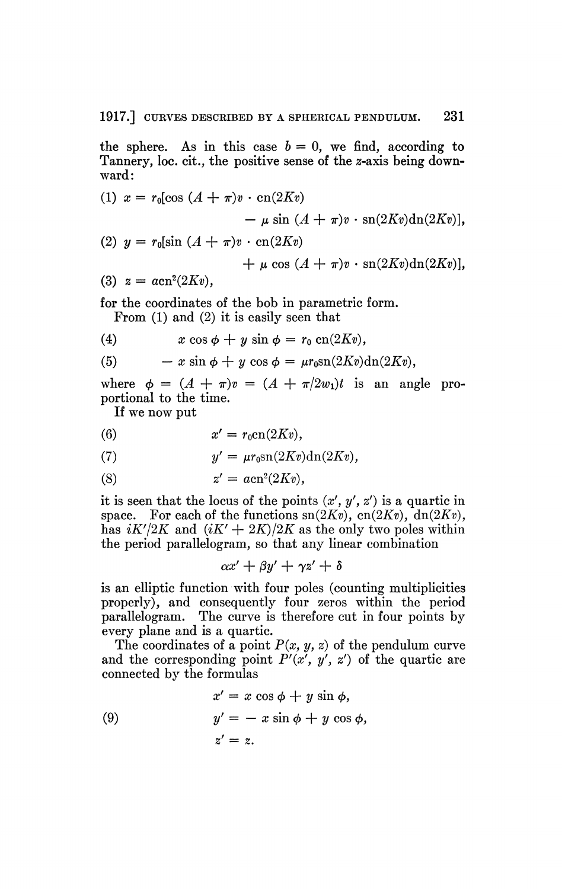the sphere. As in this case  $b = 0$ , we find, according to Tannery, loc. cit., the positive sense of the s-axis being downward:

(1) 
$$
x = r_0[\cos (A + \pi)v \cdot \cos(2Kv) - \mu \sin (A + \pi)v \cdot \sin(2Kv) \sin(2Kv)],
$$
  
\n(2) 
$$
y = r_0[\sin (A + \pi)v \cdot \cos(2Kv) + \mu \cos (A + \pi)v \cdot \sin(2Kv) \sin(2Kv)],
$$
  
\n(3) 
$$
z = a \cos^2(2Kv),
$$

for the coordinates of the bob in parametric form.

From (1) and (2) it is easily seen that

(4)  $x \cos \phi + y \sin \phi = r_0 \cos(2Kv)$ ,

(5) 
$$
- x \sin \phi + y \cos \phi = \mu r_0 \sin(2Kv) \mathrm{dn}(2Kv),
$$

where  $\phi = (A + \pi)v = (A + \pi/2w_1)t$  is an angle proportional to the time.

If we now put

(6) 
$$
x' = r_0 \operatorname{cn}(2Kv),
$$

(7) 
$$
y' = \mu r_0 \operatorname{sn}(2Kv) \operatorname{dn}(2Kv),
$$

$$
(8) \t z' = acn^2(2Kv),
$$

it is seen that the locus of the points  $(x', y', z')$  is a quartic in space. For each of the functions  $\text{sn}(2Kv)$ ,  $\text{cn}(2Kv)$ ,  $\text{dn}(2Kv)$ , has  $iK'/2K$  and  $(iK' + 2K)/2K$  as the only two poles within the period parallelogram, so that any linear combination

$$
\alpha x' + \beta y' + \gamma z' + \delta
$$

is an elliptic function with four poles (counting multiplicities properly), and consequently four zeros within the period parallelogram. The curve is therefore cut in four points by every plane and is a quartic.

The coordinates of a point *P(x, y, z)* of the pendulum curve and the corresponding point  $P'(x', y', z')$  of the quartic are connected by the formulas

(9) 
$$
x' = x \cos \phi + y \sin \phi,
$$

$$
y' = -x \sin \phi + y \cos \phi,
$$

$$
z' = z.
$$